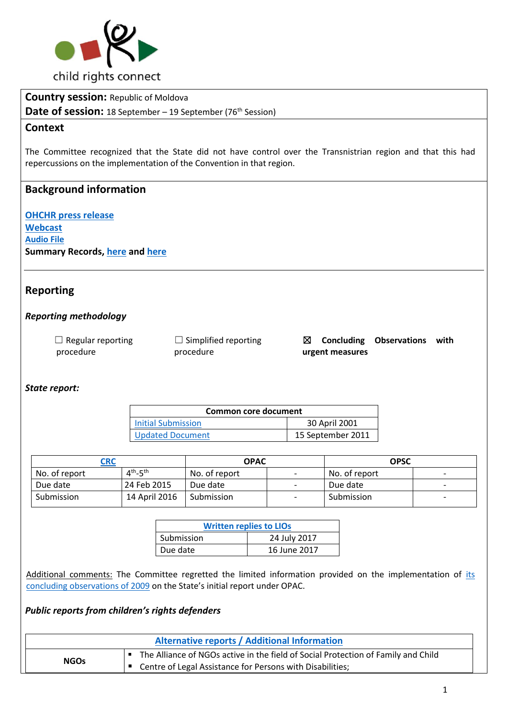

**Country session:** Republic of Moldova

**Date of session:** 18 September – 19 September (76<sup>th</sup> Session)

## **Context**

The Committee recognized that the State did not have control over the Transnistrian region and that this had repercussions on the implementation of the Convention in that region.

# **Background information**

**[OHCHR press release](http://www.ohchr.org/EN/NewsEvents/Pages/DisplayNews.aspx?NewsID=22104&LangID=E) [Webcast](http://webtv.un.org/meetings-events/human-rights-treaty-bodies/committee-on-the-rights-of-the-child/watch/consideration-of-moldova-2233rd-meeting-76th-session-committee-on-the-rights-of-the-child/5580223546001) [Audio File](http://conf.unog.ch/digitalrecordings/) Summary Records, [here](http://tbinternet.ohchr.org/_layouts/treatybodyexternal/Download.aspx?symbolno=CRC%2fC%2fSR.2223&Lang=en) and [here](http://tbinternet.ohchr.org/_layouts/treatybodyexternal/Download.aspx?symbolno=CRC%2fC%2fSR.2224&Lang=en)**

# **Reporting**

#### *Reporting methodology*

| $\Box$ Regular reporting | $\Box$ Simplified reporting | Conclu     |
|--------------------------|-----------------------------|------------|
| procedure                | procedure                   | urgent mea |

☒ **Concluding Observations with**  asures

## *State report:*

| Common core document                         |               |  |
|----------------------------------------------|---------------|--|
| Initial Submission                           | 30 April 2001 |  |
| <b>Updated Document</b><br>15 September 2011 |               |  |

| CRC           |                                  | <b>OPAC</b>   |                          | <b>OPSC</b>   |                          |
|---------------|----------------------------------|---------------|--------------------------|---------------|--------------------------|
| No. of report | $4^{\text{th}}$ -5 <sup>th</sup> | No. of report | $\overline{\phantom{a}}$ | No. of report | $\overline{\phantom{0}}$ |
| Due date      | 24 Feb 2015                      | Due date      | $\overline{\phantom{0}}$ | Due date      | $\overline{\phantom{0}}$ |
| Submission    | 14 April 2016                    | Submission    | $\overline{\phantom{0}}$ | Submission    | $\overline{\phantom{0}}$ |

| <b>Written replies to LIOs</b> |              |  |
|--------------------------------|--------------|--|
| Submission                     | 24 July 2017 |  |
| Due date                       | 16 June 2017 |  |

Additional comments: The Committee regretted the limited information provided on the implementation of [its](http://tbinternet.ohchr.org/_layouts/treatybodyexternal/Download.aspx?symbolno=CRC%2fC%2fOPAC%2fMDA%2fCO%2f1&Lang=en) [concluding observations of 2009](http://tbinternet.ohchr.org/_layouts/treatybodyexternal/Download.aspx?symbolno=CRC%2fC%2fOPAC%2fMDA%2fCO%2f1&Lang=en) on the State's initial report under OPAC.

## *Public reports from children's rights defenders*

| <b>Alternative reports / Additional Information</b> |                                                                                   |  |
|-----------------------------------------------------|-----------------------------------------------------------------------------------|--|
| <b>NGOs</b>                                         | The Alliance of NGOs active in the field of Social Protection of Family and Child |  |
|                                                     | <sup>'■</sup> Centre of Legal Assistance for Persons with Disabilities;           |  |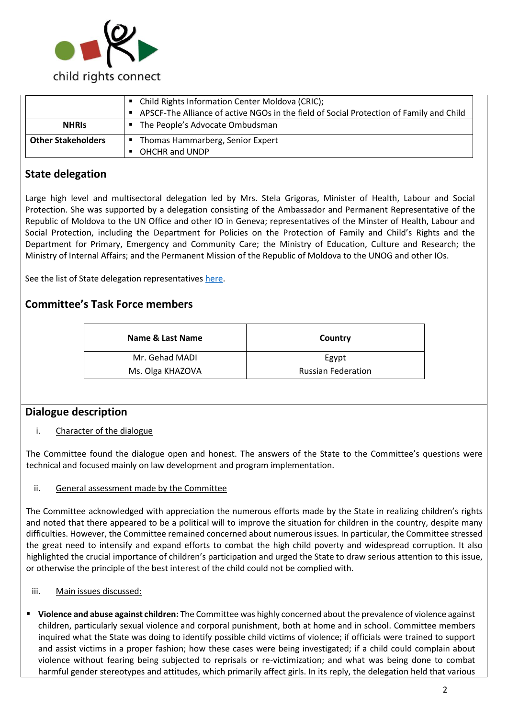

|                                                                 | • Child Rights Information Center Moldova (CRIC);<br>• APSCF-The Alliance of active NGOs in the field of Social Protection of Family and Child |
|-----------------------------------------------------------------|------------------------------------------------------------------------------------------------------------------------------------------------|
| <b>NHRIS</b>                                                    | • The People's Advocate Ombudsman                                                                                                              |
| <b>Other Stakeholders</b><br>• Thomas Hammarberg, Senior Expert |                                                                                                                                                |
|                                                                 | OHCHR and UNDP                                                                                                                                 |

# **State delegation**

Large high level and multisectoral delegation led by Mrs. Stela Grigoras, Minister of Health, Labour and Social Protection. She was supported by a delegation consisting of the Ambassador and Permanent Representative of the Republic of Moldova to the UN Office and other IO in Geneva; representatives of the Minster of Health, Labour and Social Protection, including the Department for Policies on the Protection of Family and Child's Rights and the Department for Primary, Emergency and Community Care; the Ministry of Education, Culture and Research; the Ministry of Internal Affairs; and the Permanent Mission of the Republic of Moldova to the UNOG and other IOs.

See the list of State delegation representative[s here.](http://tbinternet.ohchr.org/_layouts/treatybodyexternal/Download.aspx?symbolno=INT%2fCRC%2fLOP%2fMDA%2f28921&Lang=en)

# **Committee's Task Force members**

| Name & Last Name | Country                   |
|------------------|---------------------------|
| Mr. Gehad MADI   | Egypt                     |
| Ms. Olga KHAZOVA | <b>Russian Federation</b> |

# **Dialogue description**

### i. Character of the dialogue

The Committee found the dialogue open and honest. The answers of the State to the Committee's questions were technical and focused mainly on law development and program implementation.

### ii. General assessment made by the Committee

The Committee acknowledged with appreciation the numerous efforts made by the State in realizing children's rights and noted that there appeared to be a political will to improve the situation for children in the country, despite many difficulties. However, the Committee remained concerned about numerous issues. In particular, the Committee stressed the great need to intensify and expand efforts to combat the high child poverty and widespread corruption. It also highlighted the crucial importance of children's participation and urged the State to draw serious attention to this issue, or otherwise the principle of the best interest of the child could not be complied with.

- iii. Main issues discussed:
- **Violence and abuse against children:** The Committee was highly concerned about the prevalence of violence against children, particularly sexual violence and corporal punishment, both at home and in school. Committee members inquired what the State was doing to identify possible child victims of violence; if officials were trained to support and assist victims in a proper fashion; how these cases were being investigated; if a child could complain about violence without fearing being subjected to reprisals or re-victimization; and what was being done to combat harmful gender stereotypes and attitudes, which primarily affect girls. In its reply, the delegation held that various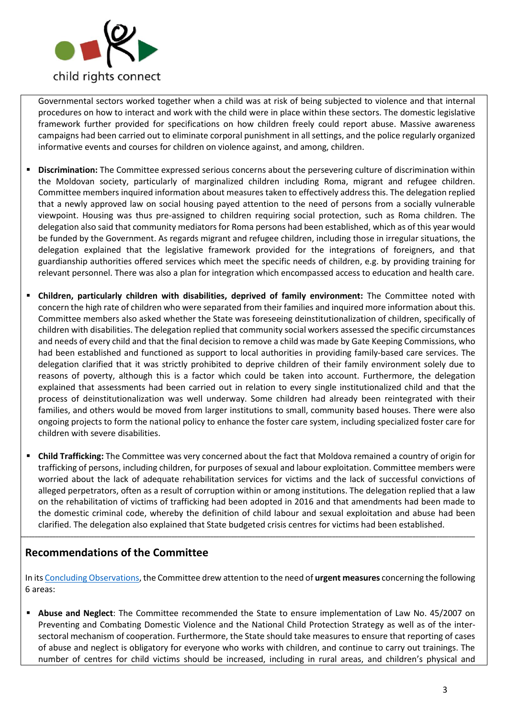

Governmental sectors worked together when a child was at risk of being subjected to violence and that internal procedures on how to interact and work with the child were in place within these sectors. The domestic legislative framework further provided for specifications on how children freely could report abuse. Massive awareness campaigns had been carried out to eliminate corporal punishment in all settings, and the police regularly organized informative events and courses for children on violence against, and among, children.

- **Discrimination:** The Committee expressed serious concerns about the persevering culture of discrimination within the Moldovan society, particularly of marginalized children including Roma, migrant and refugee children. Committee members inquired information about measures taken to effectively address this. The delegation replied that a newly approved law on social housing payed attention to the need of persons from a socially vulnerable viewpoint. Housing was thus pre-assigned to children requiring social protection, such as Roma children. The delegation also said that community mediators for Roma persons had been established, which as of this year would be funded by the Government. As regards migrant and refugee children, including those in irregular situations, the delegation explained that the legislative framework provided for the integrations of foreigners, and that guardianship authorities offered services which meet the specific needs of children, e.g. by providing training for relevant personnel. There was also a plan for integration which encompassed access to education and health care.
- **Children, particularly children with disabilities, deprived of family environment:** The Committee noted with concern the high rate of children who were separated from their families and inquired more information about this. Committee members also asked whether the State was foreseeing deinstitutionalization of children, specifically of children with disabilities. The delegation replied that community social workers assessed the specific circumstances and needs of every child and that the final decision to remove a child was made by Gate Keeping Commissions, who had been established and functioned as support to local authorities in providing family-based care services. The delegation clarified that it was strictly prohibited to deprive children of their family environment solely due to reasons of poverty, although this is a factor which could be taken into account. Furthermore, the delegation explained that assessments had been carried out in relation to every single institutionalized child and that the process of deinstitutionalization was well underway. Some children had already been reintegrated with their families, and others would be moved from larger institutions to small, community based houses. There were also ongoing projects to form the national policy to enhance the foster care system, including specialized foster care for children with severe disabilities.
- **Child Trafficking:** The Committee was very concerned about the fact that Moldova remained a country of origin for trafficking of persons, including children, for purposes of sexual and labour exploitation. Committee members were worried about the lack of adequate rehabilitation services for victims and the lack of successful convictions of alleged perpetrators, often as a result of corruption within or among institutions. The delegation replied that a law on the rehabilitation of victims of trafficking had been adopted in 2016 and that amendments had been made to the domestic criminal code, whereby the definition of child labour and sexual exploitation and abuse had been clarified. The delegation also explained that State budgeted crisis centres for victims had been established.

**\_\_\_\_\_\_\_\_\_\_\_\_\_\_\_\_\_\_\_\_\_\_\_\_\_\_\_\_\_\_\_\_\_\_\_\_\_\_\_\_\_\_\_\_\_\_\_\_\_\_\_\_\_\_\_\_\_\_\_\_\_\_\_\_\_\_\_\_\_\_\_\_\_\_\_\_\_\_\_\_\_\_\_\_\_\_\_\_\_\_\_\_\_\_\_\_\_\_\_\_\_\_\_\_\_\_\_\_\_\_\_\_\_\_\_\_\_\_\_\_\_\_\_\_\_\_\_\_\_\_\_\_\_\_\_\_\_\_\_\_\_\_\_\_\_\_\_\_\_\_\_\_\_**

# **Recommendations of the Committee**

In it[s Concluding Observations,](http://tbinternet.ohchr.org/_layouts/treatybodyexternal/Download.aspx?symbolno=CRC%2fMDA%2fCO%2f4-5&Lang=en) the Committee drew attention to the need of **urgent measures** concerning the following 6 areas:

▪ **Abuse and Neglect**: The Committee recommended the State to ensure implementation of Law No. 45/2007 on Preventing and Combating Domestic Violence and the National Child Protection Strategy as well as of the intersectoral mechanism of cooperation. Furthermore, the State should take measures to ensure that reporting of cases of abuse and neglect is obligatory for everyone who works with children, and continue to carry out trainings. The number of centres for child victims should be increased, including in rural areas, and children's physical and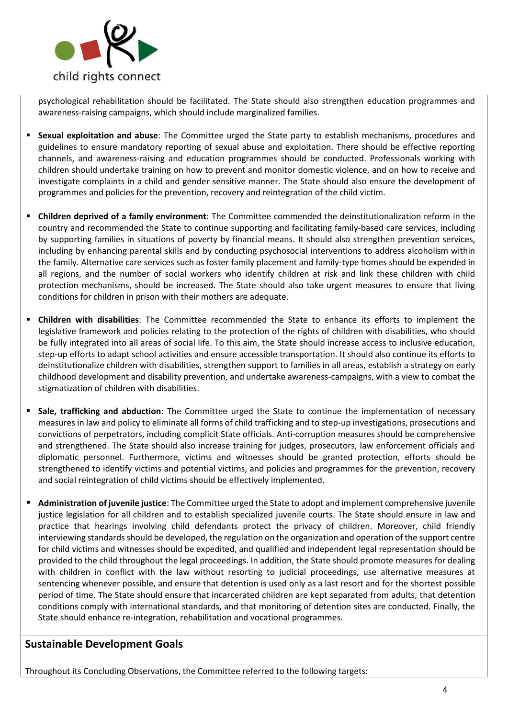

psychological rehabilitation should be facilitated. The State should also strengthen education programmes and awareness-raising campaigns, which should include marginalized families.

- **Sexual exploitation and abuse**: The Committee urged the State party to establish mechanisms, procedures and guidelines to ensure mandatory reporting of sexual abuse and exploitation. There should be effective reporting channels, and awareness-raising and education programmes should be conducted. Professionals working with children should undertake training on how to prevent and monitor domestic violence, and on how to receive and investigate complaints in a child and gender sensitive manner. The State should also ensure the development of programmes and policies for the prevention, recovery and reintegration of the child victim.
- **Children deprived of a family environment**: The Committee commended the deinstitutionalization reform in the country and recommended the State to continue supporting and facilitating family-based care services, including by supporting families in situations of poverty by financial means. It should also strengthen prevention services, including by enhancing parental skills and by conducting psychosocial interventions to address alcoholism within the family. Alternative care services such as foster family placement and family-type homes should be expended in all regions, and the number of social workers who identify children at risk and link these children with child protection mechanisms, should be increased. The State should also take urgent measures to ensure that living conditions for children in prison with their mothers are adequate.
- **Children with disabilities**: The Committee recommended the State to enhance its efforts to implement the legislative framework and policies relating to the protection of the rights of children with disabilities, who should be fully integrated into all areas of social life. To this aim, the State should increase access to inclusive education, step-up efforts to adapt school activities and ensure accessible transportation. It should also continue its efforts to deinstitutionalize children with disabilities, strengthen support to families in all areas, establish a strategy on early childhood development and disability prevention, and undertake awareness-campaigns, with a view to combat the stigmatization of children with disabilities.
- **E** Sale, trafficking and abduction: The Committee urged the State to continue the implementation of necessary measures in law and policy to eliminate all forms of child trafficking and to step-up investigations, prosecutions and convictions of perpetrators, including complicit State officials. Anti-corruption measures should be comprehensive and strengthened. The State should also increase training for judges, prosecutors, law enforcement officials and diplomatic personnel. Furthermore, victims and witnesses should be granted protection, efforts should be strengthened to identify victims and potential victims, and policies and programmes for the prevention, recovery and social reintegration of child victims should be effectively implemented.
- **Administration of juvenile justice**: The Committee urged the State to adopt and implement comprehensive juvenile justice legislation for all children and to establish specialized juvenile courts. The State should ensure in law and practice that hearings involving child defendants protect the privacy of children. Moreover, child friendly interviewing standards should be developed, the regulation on the organization and operation of the support centre for child victims and witnesses should be expedited, and qualified and independent legal representation should be provided to the child throughout the legal proceedings. In addition, the State should promote measures for dealing with children in conflict with the law without resorting to judicial proceedings, use alternative measures at sentencing whenever possible, and ensure that detention is used only as a last resort and for the shortest possible period of time. The State should ensure that incarcerated children are kept separated from adults, that detention conditions comply with international standards, and that monitoring of detention sites are conducted. Finally, the State should enhance re-integration, rehabilitation and vocational programmes.

# **Sustainable Development Goals**

Throughout its Concluding Observations, the Committee referred to the following targets: